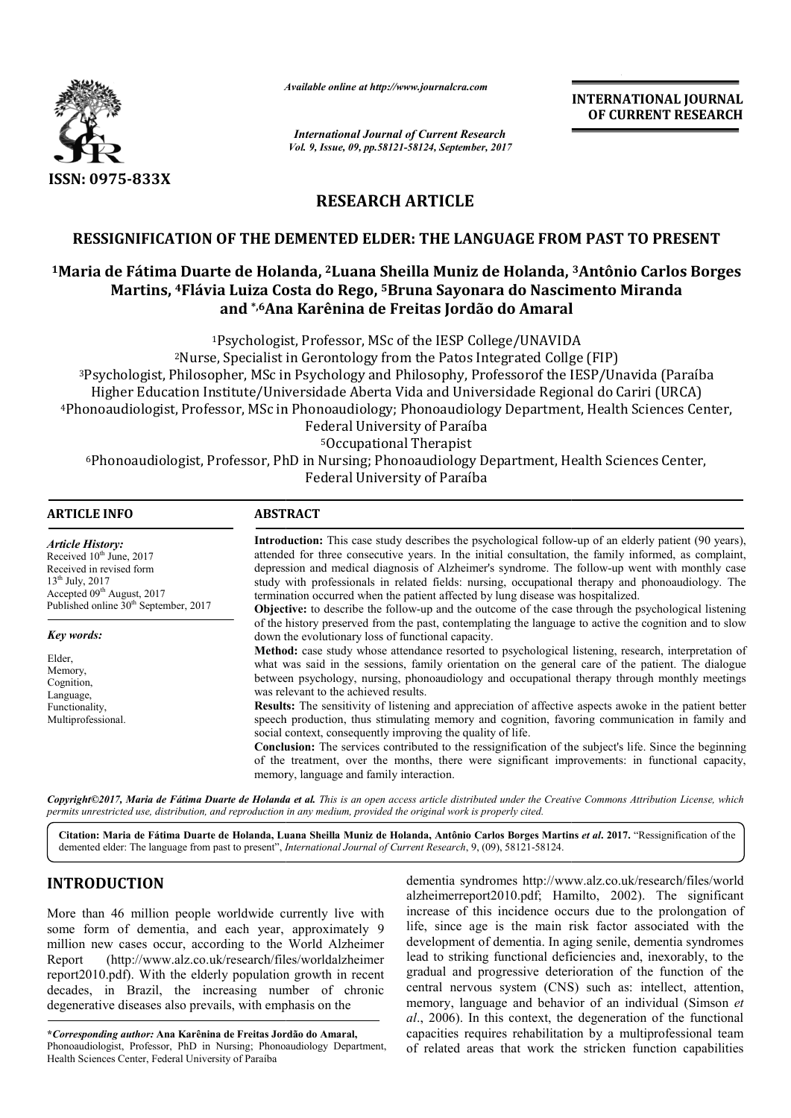

*Available online at http://www.journalcra.com*

# **RESEARCH ARTICLE**

## **RESSIGNIFICATION OF THE DEMENTED ELDER: THE LANGUAGE FROM PAST TO PRESENT**

# RESSIGNIFICATION OF THE DEMENTED ELDER: THE LANGUAGE FROM PAST TO PRESENT<br><sup>1</sup>Maria de Fátima Duarte de Holanda, <sup>2</sup>Luana Sheilla Muniz de Holanda, <sup>3</sup>Antônio Carlos Borges **Martins, 4Flávia Luiza Costa do Rego Flávia Rego, 5Bruna Sayonara do Nascimento Miranda Bruna Sayonara Ana de Freitas Amaraland \*,6Ana Karênina de Freitas Jordão do Amaral Ana**

# **ARTICLE INFO ABSTRACT**

|                                                                                                                                                                                                                                                                                                                                                                                                                                                                                                                                                                                       | л гипион опине иг нир.// www.journancra.com                                                                                                                                                                                                                                                                                                                                                                                                                                                                                                                                                                                                                                                                                                                                                                                                                                                                                                                                                                                                                |                                                                                                        | <b>INTERNATIONAL JOURNAL</b><br>OF CURRENT RESEARCH                                                                                                                                                                                                                                                                                                                                                                                                                                                                                                                                                                                                               |
|---------------------------------------------------------------------------------------------------------------------------------------------------------------------------------------------------------------------------------------------------------------------------------------------------------------------------------------------------------------------------------------------------------------------------------------------------------------------------------------------------------------------------------------------------------------------------------------|------------------------------------------------------------------------------------------------------------------------------------------------------------------------------------------------------------------------------------------------------------------------------------------------------------------------------------------------------------------------------------------------------------------------------------------------------------------------------------------------------------------------------------------------------------------------------------------------------------------------------------------------------------------------------------------------------------------------------------------------------------------------------------------------------------------------------------------------------------------------------------------------------------------------------------------------------------------------------------------------------------------------------------------------------------|--------------------------------------------------------------------------------------------------------|-------------------------------------------------------------------------------------------------------------------------------------------------------------------------------------------------------------------------------------------------------------------------------------------------------------------------------------------------------------------------------------------------------------------------------------------------------------------------------------------------------------------------------------------------------------------------------------------------------------------------------------------------------------------|
|                                                                                                                                                                                                                                                                                                                                                                                                                                                                                                                                                                                       |                                                                                                                                                                                                                                                                                                                                                                                                                                                                                                                                                                                                                                                                                                                                                                                                                                                                                                                                                                                                                                                            | <b>International Journal of Current Research</b><br>Vol. 9, Issue, 09, pp.58121-58124, September, 2017 |                                                                                                                                                                                                                                                                                                                                                                                                                                                                                                                                                                                                                                                                   |
| ISSN: 0975-833X                                                                                                                                                                                                                                                                                                                                                                                                                                                                                                                                                                       |                                                                                                                                                                                                                                                                                                                                                                                                                                                                                                                                                                                                                                                                                                                                                                                                                                                                                                                                                                                                                                                            |                                                                                                        |                                                                                                                                                                                                                                                                                                                                                                                                                                                                                                                                                                                                                                                                   |
|                                                                                                                                                                                                                                                                                                                                                                                                                                                                                                                                                                                       | <b>RESEARCH ARTICLE</b>                                                                                                                                                                                                                                                                                                                                                                                                                                                                                                                                                                                                                                                                                                                                                                                                                                                                                                                                                                                                                                    |                                                                                                        |                                                                                                                                                                                                                                                                                                                                                                                                                                                                                                                                                                                                                                                                   |
|                                                                                                                                                                                                                                                                                                                                                                                                                                                                                                                                                                                       |                                                                                                                                                                                                                                                                                                                                                                                                                                                                                                                                                                                                                                                                                                                                                                                                                                                                                                                                                                                                                                                            |                                                                                                        | RESSIGNIFICATION OF THE DEMENTED ELDER: THE LANGUAGE FROM PAST TO PRESENT                                                                                                                                                                                                                                                                                                                                                                                                                                                                                                                                                                                         |
|                                                                                                                                                                                                                                                                                                                                                                                                                                                                                                                                                                                       | Martins, <sup>4</sup> Flávia Luiza Costa do Rego, <sup>5</sup> Bruna Sayonara do Nascimento Miranda<br>and <sup>*,6</sup> Ana Karênina de Freitas Jordão do Amaral                                                                                                                                                                                                                                                                                                                                                                                                                                                                                                                                                                                                                                                                                                                                                                                                                                                                                         |                                                                                                        | <sup>1</sup> Maria de Fátima Duarte de Holanda, <sup>2</sup> Luana Sheilla Muniz de Holanda, <sup>3</sup> Antônio Carlos Borges                                                                                                                                                                                                                                                                                                                                                                                                                                                                                                                                   |
|                                                                                                                                                                                                                                                                                                                                                                                                                                                                                                                                                                                       | <sup>1</sup> Psychologist, Professor, MSc of the IESP College/UNAVIDA<br><sup>2</sup> Nurse, Specialist in Gerontology from the Patos Integrated Collge (FIP)<br>Higher Education Institute/Universidade Aberta Vida and Universidade Regional do Cariri (URCA)                                                                                                                                                                                                                                                                                                                                                                                                                                                                                                                                                                                                                                                                                                                                                                                            | Federal University of Paraíba<br><sup>5</sup> Occupational Therapist<br>Federal University of Paraíba  | <sup>3</sup> Psychologist, Philosopher, MSc in Psychology and Philosophy, Professorof the IESP/Unavida (Paraíba<br>4Phonoaudiologist, Professor, MSc in Phonoaudiology; Phonoaudiology Department, Health Sciences Center,<br>6Phonoaudiologist, Professor, PhD in Nursing; Phonoaudiology Department, Health Sciences Center,                                                                                                                                                                                                                                                                                                                                    |
| <b>ARTICLE INFO</b>                                                                                                                                                                                                                                                                                                                                                                                                                                                                                                                                                                   | <b>ABSTRACT</b>                                                                                                                                                                                                                                                                                                                                                                                                                                                                                                                                                                                                                                                                                                                                                                                                                                                                                                                                                                                                                                            |                                                                                                        |                                                                                                                                                                                                                                                                                                                                                                                                                                                                                                                                                                                                                                                                   |
| <b>Article History:</b><br>Received 10 <sup>th</sup> June, 2017<br>Received in revised form<br>13 <sup>th</sup> July, 2017<br>Accepted 09 <sup>th</sup> August, 2017<br>Published online 30 <sup>th</sup> September, 2017                                                                                                                                                                                                                                                                                                                                                             | Introduction: This case study describes the psychological follow-up of an elderly patient (90 years),<br>attended for three consecutive years. In the initial consultation, the family informed, as complaint,<br>depression and medical diagnosis of Alzheimer's syndrome. The follow-up went with monthly case<br>study with professionals in related fields: nursing, occupational therapy and phonoaudiology. The<br>termination occurred when the patient affected by lung disease was hospitalized.<br>Objective: to describe the follow-up and the outcome of the case through the psychological listening                                                                                                                                                                                                                                                                                                                                                                                                                                          |                                                                                                        |                                                                                                                                                                                                                                                                                                                                                                                                                                                                                                                                                                                                                                                                   |
| Key words:<br>Elder,<br>Memory,<br>Cognition,<br>Language,<br>Functionality,<br>Multiprofessional.                                                                                                                                                                                                                                                                                                                                                                                                                                                                                    | of the history preserved from the past, contemplating the language to active the cognition and to slow<br>down the evolutionary loss of functional capacity.<br>Method: case study whose attendance resorted to psychological listening, research, interpretation of<br>what was said in the sessions, family orientation on the general care of the patient. The dialogue<br>between psychology, nursing, phonoaudiology and occupational therapy through monthly meetings<br>was relevant to the achieved results.<br>Results: The sensitivity of listening and appreciation of affective aspects awoke in the patient better<br>speech production, thus stimulating memory and cognition, favoring communication in family and<br>social context, consequently improving the quality of life.<br>Conclusion: The services contributed to the ressignification of the subject's life. Since the beginning<br>of the treatment, over the months, there were significant improvements: in functional capacity,<br>memory, language and family interaction. |                                                                                                        |                                                                                                                                                                                                                                                                                                                                                                                                                                                                                                                                                                                                                                                                   |
| permits unrestricted use, distribution, and reproduction in any medium, provided the original work is properly cited.                                                                                                                                                                                                                                                                                                                                                                                                                                                                 |                                                                                                                                                                                                                                                                                                                                                                                                                                                                                                                                                                                                                                                                                                                                                                                                                                                                                                                                                                                                                                                            |                                                                                                        | Copyright©2017, Maria de Fátima Duarte de Holanda et al. This is an open access article distributed under the Creative Commons Attribution License, which                                                                                                                                                                                                                                                                                                                                                                                                                                                                                                         |
| demented elder: The language from past to present", <i>International Journal of Current Research</i> , 9, (09), 58121-58124.                                                                                                                                                                                                                                                                                                                                                                                                                                                          |                                                                                                                                                                                                                                                                                                                                                                                                                                                                                                                                                                                                                                                                                                                                                                                                                                                                                                                                                                                                                                                            |                                                                                                        | Citation: Maria de Fátima Duarte de Holanda, Luana Sheilla Muniz de Holanda, Antônio Carlos Borges Martins et al. 2017. "Ressignification of the                                                                                                                                                                                                                                                                                                                                                                                                                                                                                                                  |
| <b>INTRODUCTION</b>                                                                                                                                                                                                                                                                                                                                                                                                                                                                                                                                                                   |                                                                                                                                                                                                                                                                                                                                                                                                                                                                                                                                                                                                                                                                                                                                                                                                                                                                                                                                                                                                                                                            |                                                                                                        | dementia syndromes http://www.alz.co.uk/research/files/world<br>alzheimerreport2010.pdf; Hamilto, 2002). The significant                                                                                                                                                                                                                                                                                                                                                                                                                                                                                                                                          |
| More than 46 million people worldwide currently live with<br>some form of dementia, and each year, approximately 9<br>million new cases occur, according to the World Alzheimer<br>(http://www.alz.co.uk/research/files/worldalzheimer<br>Report<br>report2010.pdf). With the elderly population growth in recent<br>decades, in Brazil, the increasing number of chronic<br>degenerative diseases also prevails, with emphasis on the<br>*Corresponding author: Ana Karênina de Freitas Jordão do Amaral,<br>Phonoaudiologist, Professor, PhD in Nursing; Phonoaudiology Department, |                                                                                                                                                                                                                                                                                                                                                                                                                                                                                                                                                                                                                                                                                                                                                                                                                                                                                                                                                                                                                                                            |                                                                                                        | increase of this incidence occurs due to the prolongation of<br>life, since age is the main risk factor associated with the<br>development of dementia. In aging senile, dementia syndromes<br>lead to striking functional deficiencies and, inexorably, to the<br>gradual and progressive deterioration of the function of the<br>central nervous system (CNS) such as: intellect, attention,<br>memory, language and behavior of an individual (Simson et<br>al., 2006). In this context, the degeneration of the functional<br>capacities requires rehabilitation by a multiprofessional team<br>of related areas that work the stricken function capabilities |

# **INTRODUCTION**

**\****Corresponding author:* **Ana Karênina de Freitas Jordão do Amaral Amaral,** Phonoaudiologist, Professor, PhD in Nursing; Phonoaudiology Department, Health Sciences Center, Federal University of Paraíba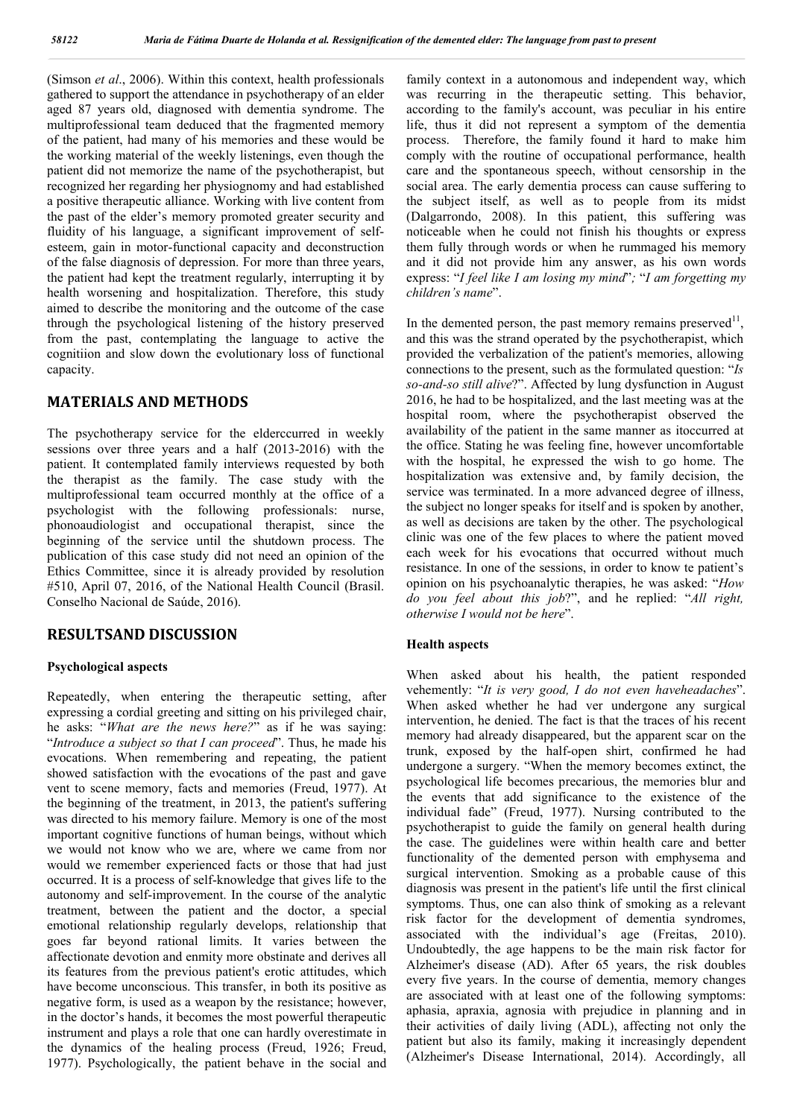(Simson *et al*., 2006). Within this context, health professionals gathered to support the attendance in psychotherapy of an elder aged 87 years old, diagnosed with dementia syndrome. The multiprofessional team deduced that the fragmented memory of the patient, had many of his memories and these would be the working material of the weekly listenings, even though the patient did not memorize the name of the psychotherapist, but recognized her regarding her physiognomy and had established a positive therapeutic alliance. Working with live content from the past of the elder's memory promoted greater security and fluidity of his language, a significant improvement of selfesteem, gain in motor-functional capacity and deconstruction of the false diagnosis of depression. For more than three years, the patient had kept the treatment regularly, interrupting it by health worsening and hospitalization. Therefore, this study aimed to describe the monitoring and the outcome of the case through the psychological listening of the history preserved from the past, contemplating the language to active the cognitiion and slow down the evolutionary loss of functional capacity.

## **MATERIALS AND METHODS**

The psychotherapy service for the elderccurred in weekly sessions over three years and a half (2013-2016) with the patient. It contemplated family interviews requested by both the therapist as the family. The case study with the multiprofessional team occurred monthly at the office of a psychologist with the following professionals: nurse, phonoaudiologist and occupational therapist, since the beginning of the service until the shutdown process. The publication of this case study did not need an opinion of the Ethics Committee, since it is already provided by resolution #510, April 07, 2016, of the National Health Council (Brasil. Conselho Nacional de Saúde, 2016).

## **RESULTSAND DISCUSSION**

#### **Psychological aspects**

Repeatedly, when entering the therapeutic setting, after expressing a cordial greeting and sitting on his privileged chair, he asks: "*What are the news here?*" as if he was saying: "*Introduce a subject so that I can proceed*". Thus, he made his evocations. When remembering and repeating, the patient showed satisfaction with the evocations of the past and gave vent to scene memory, facts and memories (Freud, 1977). At the beginning of the treatment, in 2013, the patient's suffering was directed to his memory failure. Memory is one of the most important cognitive functions of human beings, without which we would not know who we are, where we came from nor would we remember experienced facts or those that had just occurred. It is a process of self-knowledge that gives life to the autonomy and self-improvement. In the course of the analytic treatment, between the patient and the doctor, a special emotional relationship regularly develops, relationship that goes far beyond rational limits. It varies between the affectionate devotion and enmity more obstinate and derives all its features from the previous patient's erotic attitudes, which have become unconscious. This transfer, in both its positive as negative form, is used as a weapon by the resistance; however, in the doctor's hands, it becomes the most powerful therapeutic instrument and plays a role that one can hardly overestimate in the dynamics of the healing process (Freud, 1926; Freud, 1977). Psychologically, the patient behave in the social and

family context in a autonomous and independent way, which was recurring in the therapeutic setting. This behavior, according to the family's account, was peculiar in his entire life, thus it did not represent a symptom of the dementia process. Therefore, the family found it hard to make him comply with the routine of occupational performance, health care and the spontaneous speech, without censorship in the social area. The early dementia process can cause suffering to the subject itself, as well as to people from its midst (Dalgarrondo, 2008). In this patient, this suffering was noticeable when he could not finish his thoughts or express them fully through words or when he rummaged his memory and it did not provide him any answer, as his own words express: "*I feel like I am losing my mind*"*;* "*I am forgetting my children's name*".

In the demented person, the past memory remains preserved $11$ . and this was the strand operated by the psychotherapist, which provided the verbalization of the patient's memories, allowing connections to the present, such as the formulated question: "*Is so-and-so still alive*?". Affected by lung dysfunction in August 2016, he had to be hospitalized, and the last meeting was at the hospital room, where the psychotherapist observed the availability of the patient in the same manner as itoccurred at the office. Stating he was feeling fine, however uncomfortable with the hospital, he expressed the wish to go home. The hospitalization was extensive and, by family decision, the service was terminated. In a more advanced degree of illness, the subject no longer speaks for itself and is spoken by another, as well as decisions are taken by the other. The psychological clinic was one of the few places to where the patient moved each week for his evocations that occurred without much resistance. In one of the sessions, in order to know te patient's opinion on his psychoanalytic therapies, he was asked: "*How do you feel about this job*?", and he replied: "*All right, otherwise I would not be here*".

#### **Health aspects**

When asked about his health, the patient responded vehemently: "*It is very good, I do not even haveheadaches*". When asked whether he had ver undergone any surgical intervention, he denied. The fact is that the traces of his recent memory had already disappeared, but the apparent scar on the trunk, exposed by the half-open shirt, confirmed he had undergone a surgery. "When the memory becomes extinct, the psychological life becomes precarious, the memories blur and the events that add significance to the existence of the individual fade" (Freud, 1977). Nursing contributed to the psychotherapist to guide the family on general health during the case. The guidelines were within health care and better functionality of the demented person with emphysema and surgical intervention. Smoking as a probable cause of this diagnosis was present in the patient's life until the first clinical symptoms. Thus, one can also think of smoking as a relevant risk factor for the development of dementia syndromes, associated with the individual's age (Freitas, 2010). Undoubtedly, the age happens to be the main risk factor for Alzheimer's disease (AD). After 65 years, the risk doubles every five years. In the course of dementia, memory changes are associated with at least one of the following symptoms: aphasia, apraxia, agnosia with prejudice in planning and in their activities of daily living (ADL), affecting not only the patient but also its family, making it increasingly dependent (Alzheimer's Disease International, 2014). Accordingly, all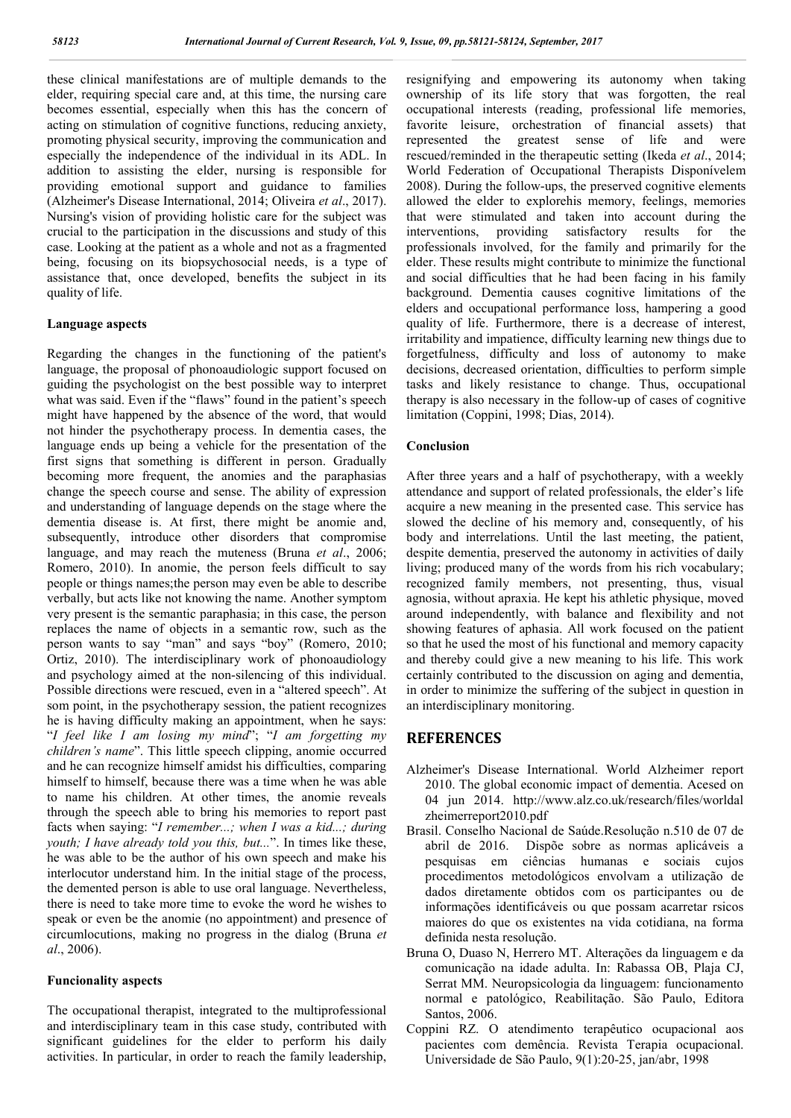these clinical manifestations are of multiple demands to the elder, requiring special care and, at this time, the nursing care becomes essential, especially when this has the concern of acting on stimulation of cognitive functions, reducing anxiety, promoting physical security, improving the communication and especially the independence of the individual in its ADL. In addition to assisting the elder, nursing is responsible for providing emotional support and guidance to families (Alzheimer's Disease International, 2014; Oliveira *et al*., 2017). Nursing's vision of providing holistic care for the subject was crucial to the participation in the discussions and study of this case. Looking at the patient as a whole and not as a fragmented being, focusing on its biopsychosocial needs, is a type of assistance that, once developed, benefits the subject in its quality of life.

#### **Language aspects**

Regarding the changes in the functioning of the patient's language, the proposal of phonoaudiologic support focused on guiding the psychologist on the best possible way to interpret what was said. Even if the "flaws" found in the patient's speech might have happened by the absence of the word, that would not hinder the psychotherapy process. In dementia cases, the language ends up being a vehicle for the presentation of the first signs that something is different in person. Gradually becoming more frequent, the anomies and the paraphasias change the speech course and sense. The ability of expression and understanding of language depends on the stage where the dementia disease is. At first, there might be anomie and, subsequently, introduce other disorders that compromise language, and may reach the muteness (Bruna *et al*., 2006; Romero, 2010). In anomie, the person feels difficult to say people or things names;the person may even be able to describe verbally, but acts like not knowing the name. Another symptom very present is the semantic paraphasia; in this case, the person replaces the name of objects in a semantic row, such as the person wants to say "man" and says "boy" (Romero, 2010; Ortiz, 2010). The interdisciplinary work of phonoaudiology and psychology aimed at the non-silencing of this individual. Possible directions were rescued, even in a "altered speech". At som point, in the psychotherapy session, the patient recognizes he is having difficulty making an appointment, when he says: "*I feel like I am losing my mind*"; "*I am forgetting my children's name*". This little speech clipping, anomie occurred and he can recognize himself amidst his difficulties, comparing himself to himself, because there was a time when he was able to name his children. At other times, the anomie reveals through the speech able to bring his memories to report past facts when saying: "*I remember...; when I was a kid...; during youth; I have already told you this, but...*". In times like these, he was able to be the author of his own speech and make his interlocutor understand him. In the initial stage of the process, the demented person is able to use oral language. Nevertheless, there is need to take more time to evoke the word he wishes to speak or even be the anomie (no appointment) and presence of circumlocutions, making no progress in the dialog (Bruna *et al*., 2006).

#### **Funcionality aspects**

The occupational therapist, integrated to the multiprofessional and interdisciplinary team in this case study, contributed with significant guidelines for the elder to perform his daily activities. In particular, in order to reach the family leadership,

resignifying and empowering its autonomy when taking ownership of its life story that was forgotten, the real occupational interests (reading, professional life memories, favorite leisure, orchestration of financial assets) that represented the greatest sense of life and were rescued/reminded in the therapeutic setting (Ikeda *et al*., 2014; World Federation of Occupational Therapists Disponívelem 2008). During the follow-ups, the preserved cognitive elements allowed the elder to explorehis memory, feelings, memories that were stimulated and taken into account during the interventions, providing satisfactory results for the professionals involved, for the family and primarily for the elder. These results might contribute to minimize the functional and social difficulties that he had been facing in his family background. Dementia causes cognitive limitations of the elders and occupational performance loss, hampering a good quality of life. Furthermore, there is a decrease of interest, irritability and impatience, difficulty learning new things due to forgetfulness, difficulty and loss of autonomy to make decisions, decreased orientation, difficulties to perform simple tasks and likely resistance to change. Thus, occupational therapy is also necessary in the follow-up of cases of cognitive limitation (Coppini, 1998; Dias, 2014).

#### **Conclusion**

After three years and a half of psychotherapy, with a weekly attendance and support of related professionals, the elder's life acquire a new meaning in the presented case. This service has slowed the decline of his memory and, consequently, of his body and interrelations. Until the last meeting, the patient, despite dementia, preserved the autonomy in activities of daily living; produced many of the words from his rich vocabulary; recognized family members, not presenting, thus, visual agnosia, without apraxia. He kept his athletic physique, moved around independently, with balance and flexibility and not showing features of aphasia. All work focused on the patient so that he used the most of his functional and memory capacity and thereby could give a new meaning to his life. This work certainly contributed to the discussion on aging and dementia, in order to minimize the suffering of the subject in question in an interdisciplinary monitoring.

## **REFERENCES**

- Alzheimer's Disease International. World Alzheimer report 2010. The global economic impact of dementia. Acesed on 04 jun 2014. http://www.alz.co.uk/research/files/worldal zheimerreport2010.pdf
- Brasil. Conselho Nacional de Saúde.Resolução n.510 de 07 de abril de 2016. Dispõe sobre as normas aplicáveis a pesquisas em ciências humanas e sociais cujos procedimentos metodológicos envolvam a utilização de dados diretamente obtidos com os participantes ou de informações identificáveis ou que possam acarretar rsicos maiores do que os existentes na vida cotidiana, na forma definida nesta resolução.
- Bruna O, Duaso N, Herrero MT. Alterações da linguagem e da comunicação na idade adulta. In: Rabassa OB, Plaja CJ, Serrat MM. Neuropsicologia da linguagem: funcionamento normal e patológico, Reabilitação. São Paulo, Editora Santos, 2006.
- Coppini RZ. O atendimento terapêutico ocupacional aos pacientes com demência. Revista Terapia ocupacional. Universidade de São Paulo, 9(1):20-25, jan/abr, 1998